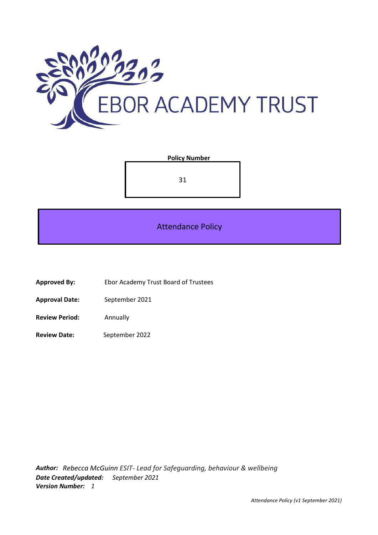

#### **Policy Number**

31

Attendance Policy

- **Approved By:** Ebor Academy Trust Board of Trustees
- **Approval Date:** September 2021
- **Review Period:** Annually
- **Review Date:** September 2022

*Author: Rebecca McGuinn ESIT- Lead for Safeguarding, behaviour & wellbeing Date Created/updated: September 2021 Version Number: 1*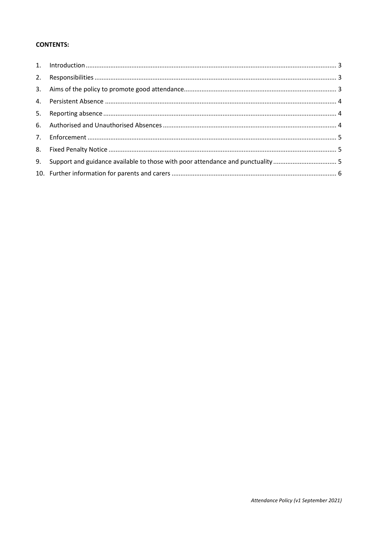# **CONTENTS:**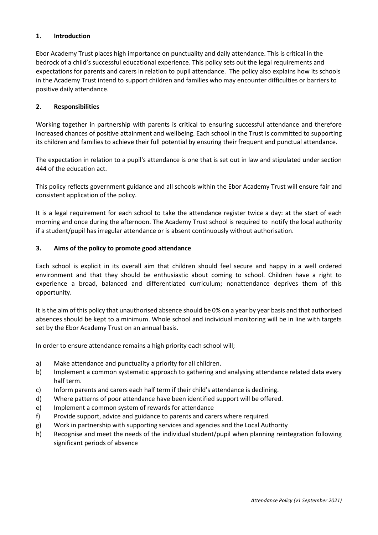#### <span id="page-2-0"></span>**1. Introduction**

Ebor Academy Trust places high importance on punctuality and daily attendance. This is critical in the bedrock of a child's successful educational experience. This policy sets out the legal requirements and expectations for parents and carers in relation to pupil attendance. The policy also explains how its schools in the Academy Trust intend to support children and families who may encounter difficulties or barriers to positive daily attendance.

#### <span id="page-2-1"></span>**2. Responsibilities**

Working together in partnership with parents is critical to ensuring successful attendance and therefore increased chances of positive attainment and wellbeing. Each school in the Trust is committed to supporting its children and families to achieve their full potential by ensuring their frequent and punctual attendance.

The expectation in relation to a pupil's attendance is one that is set out in law and stipulated under section 444 of the education act.

This policy reflects government guidance and all schools within the Ebor Academy Trust will ensure fair and consistent application of the policy.

It is a legal requirement for each school to take the attendance register twice a day: at the start of each morning and once during the afternoon. The Academy Trust school is required to notify the local authority if a student/pupil has irregular attendance or is absent continuously without authorisation.

#### <span id="page-2-2"></span>**3. Aims of the policy to promote good attendance**

Each school is explicit in its overall aim that children should feel secure and happy in a well ordered environment and that they should be enthusiastic about coming to school. Children have a right to experience a broad, balanced and differentiated curriculum; nonattendance deprives them of this opportunity.

It is the aim of this policy that unauthorised absence should be 0% on a year by year basis and that authorised absences should be kept to a minimum. Whole school and individual monitoring will be in line with targets set by the Ebor Academy Trust on an annual basis.

In order to ensure attendance remains a high priority each school will;

- a) Make attendance and punctuality a priority for all children.
- b) Implement a common systematic approach to gathering and analysing attendance related data every half term.
- c) Inform parents and carers each half term if their child's attendance is declining.
- d) Where patterns of poor attendance have been identified support will be offered.
- e) Implement a common system of rewards for attendance
- f) Provide support, advice and guidance to parents and carers where required.
- g) Work in partnership with supporting services and agencies and the Local Authority
- h) Recognise and meet the needs of the individual student/pupil when planning reintegration following significant periods of absence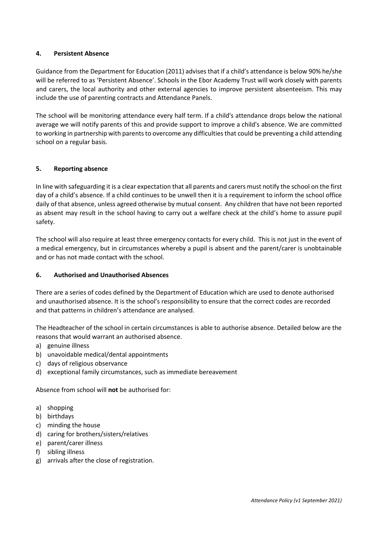#### <span id="page-3-0"></span>**4. Persistent Absence**

Guidance from the Department for Education (2011) advises that if a child's attendance is below 90% he/she will be referred to as 'Persistent Absence'. Schools in the Ebor Academy Trust will work closely with parents and carers, the local authority and other external agencies to improve persistent absenteeism. This may include the use of parenting contracts and Attendance Panels.

The school will be monitoring attendance every half term. If a child's attendance drops below the national average we will notify parents of this and provide support to improve a child's absence. We are committed to working in partnership with parents to overcome any difficulties that could be preventing a child attending school on a regular basis.

# <span id="page-3-1"></span>**5. Reporting absence**

In line with safeguarding it is a clear expectation that all parents and carers must notify the school on the first day of a child's absence. If a child continues to be unwell then it is a requirement to inform the school office daily of that absence, unless agreed otherwise by mutual consent. Any children that have not been reported as absent may result in the school having to carry out a welfare check at the child's home to assure pupil safety.

The school will also require at least three emergency contacts for every child. This is not just in the event of a medical emergency, but in circumstances whereby a pupil is absent and the parent/carer is unobtainable and or has not made contact with the school.

# <span id="page-3-2"></span>**6. Authorised and Unauthorised Absences**

There are a series of codes defined by the Department of Education which are used to denote authorised and unauthorised absence. It is the school's responsibility to ensure that the correct codes are recorded and that patterns in children's attendance are analysed.

The Headteacher of the school in certain circumstances is able to authorise absence. Detailed below are the reasons that would warrant an authorised absence.

- a) genuine illness
- b) unavoidable medical/dental appointments
- c) days of religious observance
- d) exceptional family circumstances, such as immediate bereavement

Absence from school will **not** be authorised for:

- a) shopping
- b) birthdays
- c) minding the house
- d) caring for brothers/sisters/relatives
- e) parent/carer illness
- f) sibling illness
- g) arrivals after the close of registration.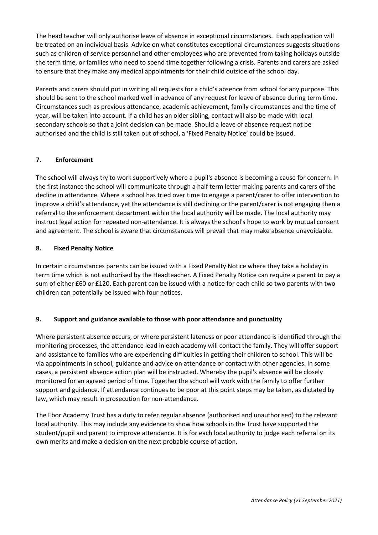The head teacher will only authorise leave of absence in exceptional circumstances. Each application will be treated on an individual basis. Advice on what constitutes exceptional circumstances suggests situations such as children of service personnel and other employees who are prevented from taking holidays outside the term time, or families who need to spend time together following a crisis. Parents and carers are asked to ensure that they make any medical appointments for their child outside of the school day.

Parents and carers should put in writing all requests for a child's absence from school for any purpose. This should be sent to the school marked well in advance of any request for leave of absence during term time. Circumstances such as previous attendance, academic achievement, family circumstances and the time of year, will be taken into account. If a child has an older sibling, contact will also be made with local secondary schools so that a joint decision can be made. Should a leave of absence request not be authorised and the child is still taken out of school, a 'Fixed Penalty Notice' could be issued.

# <span id="page-4-0"></span>**7. Enforcement**

The school will always try to work supportively where a pupil's absence is becoming a cause for concern. In the first instance the school will communicate through a half term letter making parents and carers of the decline in attendance. Where a school has tried over time to engage a parent/carer to offer intervention to improve a child's attendance, yet the attendance is still declining or the parent/carer is not engaging then a referral to the enforcement department within the local authority will be made. The local authority may instruct legal action for repeated non-attendance. It is always the school's hope to work by mutual consent and agreement. The school is aware that circumstances will prevail that may make absence unavoidable.

# <span id="page-4-1"></span>**8. Fixed Penalty Notice**

In certain circumstances parents can be issued with a Fixed Penalty Notice where they take a holiday in term time which is not authorised by the Headteacher. A Fixed Penalty Notice can require a parent to pay a sum of either £60 or £120. Each parent can be issued with a notice for each child so two parents with two children can potentially be issued with four notices.

# <span id="page-4-2"></span>**9. Support and guidance available to those with poor attendance and punctuality**

Where persistent absence occurs, or where persistent lateness or poor attendance is identified through the monitoring processes, the attendance lead in each academy will contact the family. They will offer support and assistance to families who are experiencing difficulties in getting their children to school. This will be via appointments in school, guidance and advice on attendance or contact with other agencies. In some cases, a persistent absence action plan will be instructed. Whereby the pupil's absence will be closely monitored for an agreed period of time. Together the school will work with the family to offer further support and guidance. If attendance continues to be poor at this point steps may be taken, as dictated by law, which may result in prosecution for non-attendance.

The Ebor Academy Trust has a duty to refer regular absence (authorised and unauthorised) to the relevant local authority. This may include any evidence to show how schools in the Trust have supported the student/pupil and parent to improve attendance. It is for each local authority to judge each referral on its own merits and make a decision on the next probable course of action.